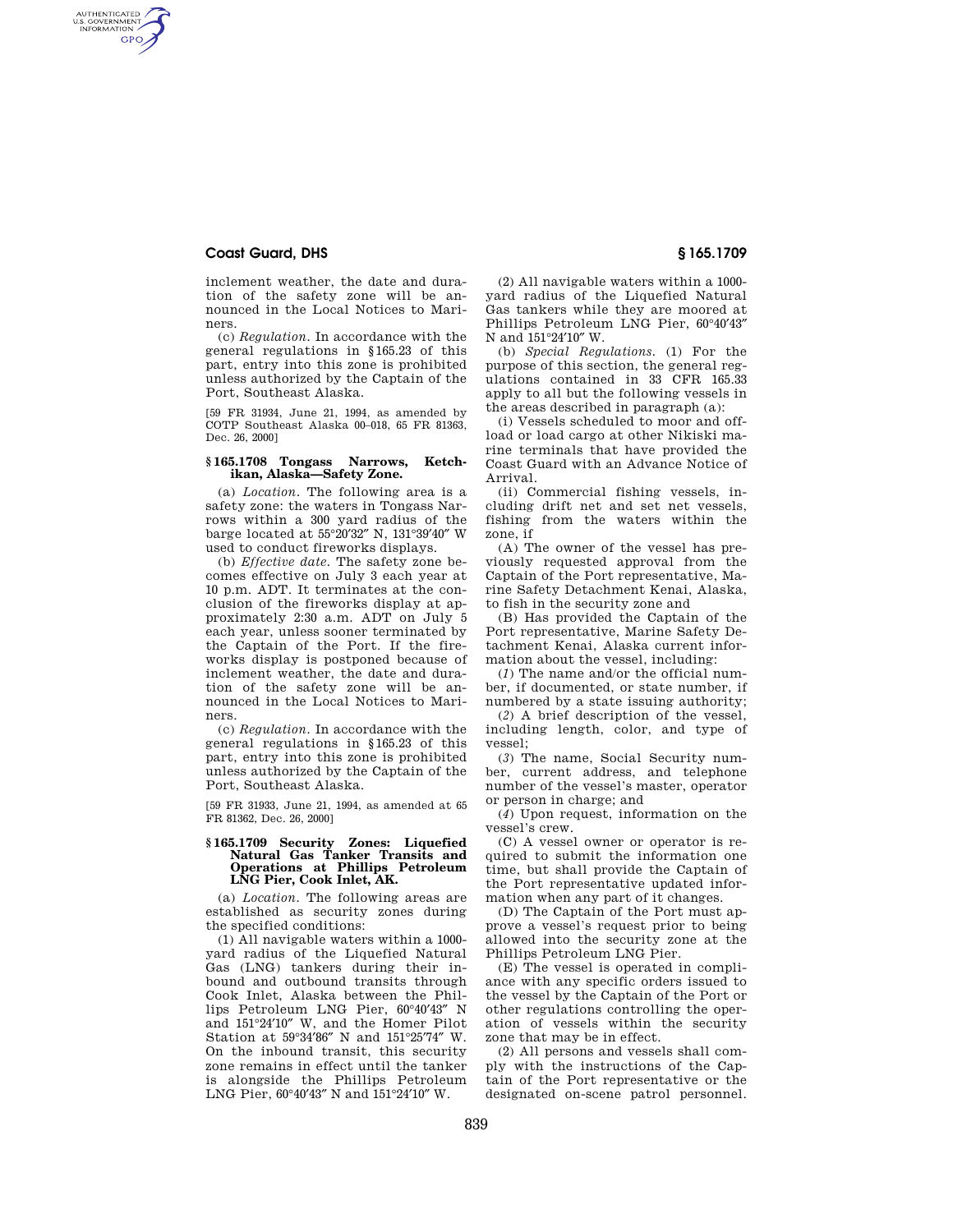# **Coast Guard, DHS § 165.1709**

AUTHENTICATED<br>U.S. GOVERNMENT<br>INFORMATION **GPO** 

> inclement weather, the date and duration of the safety zone will be announced in the Local Notices to Mariners.

> (c) *Regulation.* In accordance with the general regulations in §165.23 of this part, entry into this zone is prohibited unless authorized by the Captain of the Port, Southeast Alaska.

> [59 FR 31934, June 21, 1994, as amended by COTP Southeast Alaska 00–018, 65 FR 81363, Dec. 26, 20001

## **§ 165.1708 Tongass Narrows, Ketchikan, Alaska—Safety Zone.**

(a) *Location.* The following area is a safety zone: the waters in Tongass Narrows within a 300 yard radius of the barge located at 55°20′32″ N, 131°39′40″ W used to conduct fireworks displays.

(b) *Effective date.* The safety zone becomes effective on July 3 each year at 10 p.m. ADT. It terminates at the conclusion of the fireworks display at approximately 2:30 a.m. ADT on July 5 each year, unless sooner terminated by the Captain of the Port. If the fireworks display is postponed because of inclement weather, the date and duration of the safety zone will be announced in the Local Notices to Mariners.

(c) *Regulation.* In accordance with the general regulations in §165.23 of this part, entry into this zone is prohibited unless authorized by the Captain of the Port, Southeast Alaska.

[59 FR 31933, June 21, 1994, as amended at 65 FR 81362, Dec. 26, 2000]

### **§ 165.1709 Security Zones: Liquefied Natural Gas Tanker Transits and Operations at Phillips Petroleum LNG Pier, Cook Inlet, AK.**

(a) *Location.* The following areas are established as security zones during the specified conditions:

(1) All navigable waters within a 1000 yard radius of the Liquefied Natural Gas (LNG) tankers during their inbound and outbound transits through Cook Inlet, Alaska between the Phillips Petroleum LNG Pier, 60°40′43″ N and 151°24′10″ W, and the Homer Pilot Station at 59°34′86″ N and 151°25′74″ W. On the inbound transit, this security zone remains in effect until the tanker is alongside the Phillips Petroleum LNG Pier, 60°40′43″ N and 151°24′10″ W.

(2) All navigable waters within a 1000 yard radius of the Liquefied Natural Gas tankers while they are moored at Phillips Petroleum LNG Pier, 60°40′43″ N and 151°24′10″ W.

(b) *Special Regulations.* (1) For the purpose of this section, the general regulations contained in 33 CFR 165.33 apply to all but the following vessels in the areas described in paragraph (a):

(i) Vessels scheduled to moor and offload or load cargo at other Nikiski marine terminals that have provided the Coast Guard with an Advance Notice of Arrival.

(ii) Commercial fishing vessels, including drift net and set net vessels, fishing from the waters within the zone, if

(A) The owner of the vessel has previously requested approval from the Captain of the Port representative, Marine Safety Detachment Kenai, Alaska, to fish in the security zone and

(B) Has provided the Captain of the Port representative, Marine Safety Detachment Kenai, Alaska current information about the vessel, including:

(*1*) The name and/or the official number, if documented, or state number, if numbered by a state issuing authority;

(*2*) A brief description of the vessel, including length, color, and type of vessel;

(*3*) The name, Social Security number, current address, and telephone number of the vessel's master, operator or person in charge; and

(*4*) Upon request, information on the vessel's crew.

(C) A vessel owner or operator is required to submit the information one time, but shall provide the Captain of the Port representative updated information when any part of it changes.

(D) The Captain of the Port must approve a vessel's request prior to being allowed into the security zone at the Phillips Petroleum LNG Pier.

(E) The vessel is operated in compliance with any specific orders issued to the vessel by the Captain of the Port or other regulations controlling the operation of vessels within the security zone that may be in effect.

(2) All persons and vessels shall comply with the instructions of the Captain of the Port representative or the designated on-scene patrol personnel.